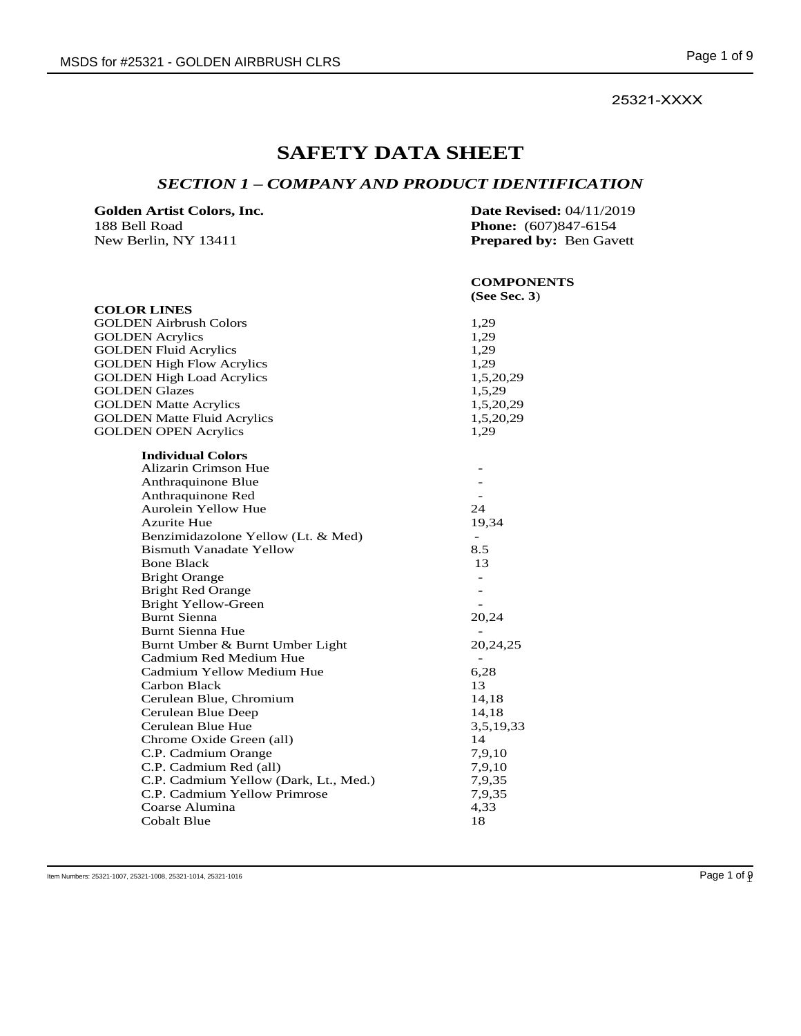25321-XXXX

# **SAFETY DATA SHEET**

# *SECTION 1 – COMPANY AND PRODUCT IDENTIFICATION*

| Golden Artist Colors, Inc. | <b>Date Revised: 04/11/2019</b> |
|----------------------------|---------------------------------|
| 188 Bell Road              | <b>Phone:</b> (607)847-6154     |
| New Berlin. NY 13411       | <b>Prepared by: Ben Gavett</b>  |

|                                       | <b>COMPONENTS</b><br>(See Sec. 3) |
|---------------------------------------|-----------------------------------|
| <b>COLOR LINES</b>                    |                                   |
| <b>GOLDEN Airbrush Colors</b>         | 1,29                              |
| <b>GOLDEN</b> Acrylics                | 1,29                              |
| <b>GOLDEN Fluid Acrylics</b>          | 1,29                              |
| <b>GOLDEN High Flow Acrylics</b>      | 1,29                              |
| <b>GOLDEN High Load Acrylics</b>      | 1,5,20,29                         |
| <b>GOLDEN</b> Glazes                  | 1,5,29                            |
| <b>GOLDEN Matte Acrylics</b>          | 1,5,20,29                         |
| <b>GOLDEN Matte Fluid Acrylics</b>    | 1,5,20,29                         |
| <b>GOLDEN OPEN Acrylics</b>           | 1,29                              |
| <b>Individual Colors</b>              |                                   |
| Alizarin Crimson Hue                  |                                   |
| Anthraquinone Blue                    |                                   |
| Anthraquinone Red                     |                                   |
| Aurolein Yellow Hue                   | 24                                |
| <b>Azurite Hue</b>                    | 19,34                             |
| Benzimidazolone Yellow (Lt. & Med)    |                                   |
| <b>Bismuth Vanadate Yellow</b>        | 8.5                               |
| <b>Bone Black</b>                     | 13                                |
| <b>Bright Orange</b>                  | $\equiv$                          |
| <b>Bright Red Orange</b>              | $\blacksquare$                    |
| <b>Bright Yellow-Green</b>            |                                   |
| <b>Burnt Sienna</b>                   | 20,24                             |
| <b>Burnt Sienna Hue</b>               |                                   |
| Burnt Umber & Burnt Umber Light       | 20,24,25                          |
| Cadmium Red Medium Hue                |                                   |
| Cadmium Yellow Medium Hue             | 6,28                              |
| Carbon Black                          | 13                                |
| Cerulean Blue, Chromium               | 14,18                             |
| Cerulean Blue Deep                    | 14,18                             |
| Cerulean Blue Hue                     | 3,5,19,33                         |
| Chrome Oxide Green (all)              | 14                                |
| C.P. Cadmium Orange                   | 7,9,10                            |
| C.P. Cadmium Red (all)                | 7,9,10                            |
| C.P. Cadmium Yellow (Dark, Lt., Med.) | 7,9,35                            |
| C.P. Cadmium Yellow Primrose          | 7,9,35                            |
| Coarse Alumina                        | 4,33                              |
| <b>Cobalt Blue</b>                    | 18                                |

Item Numbers: 25321-1007, 25321-1008, 25321-1014, 25321-1016

Page 1 of  $\varphi$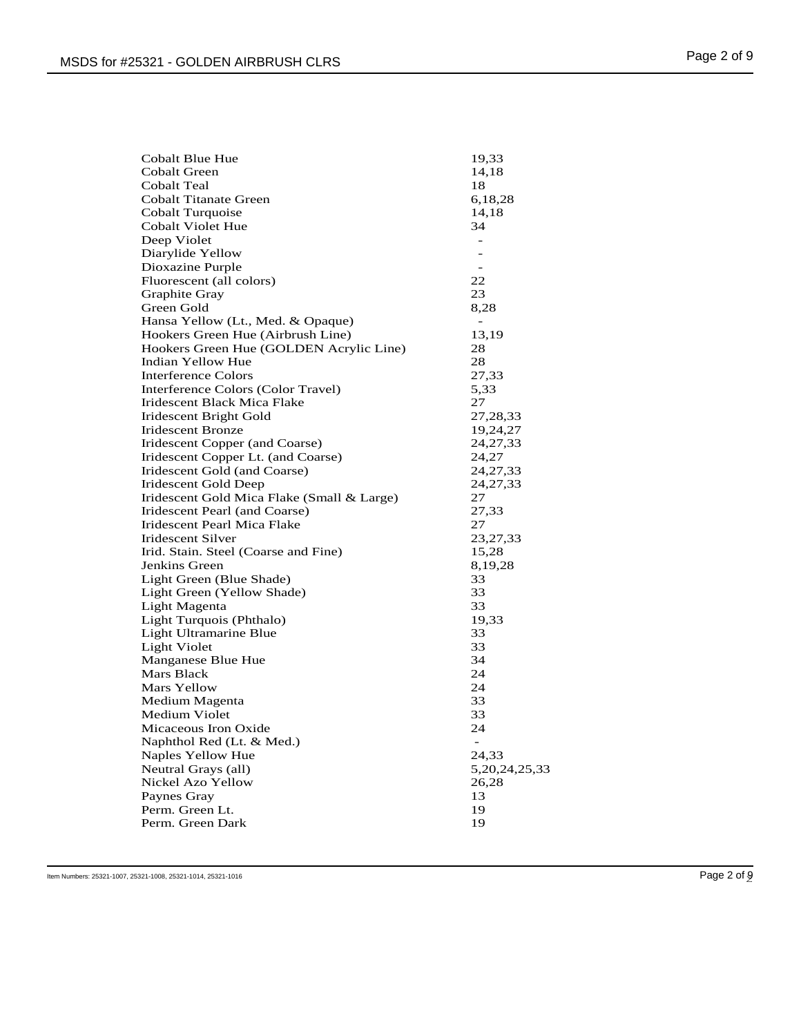| <b>Cobalt Blue Hue</b>                     | 19,33                    |
|--------------------------------------------|--------------------------|
| Cobalt Green                               | 14,18                    |
| Cobalt Teal                                | 18                       |
| <b>Cobalt Titanate Green</b>               | 6,18,28                  |
| Cobalt Turquoise                           | 14,18                    |
| <b>Cobalt Violet Hue</b>                   | 34                       |
| Deep Violet                                | $\overline{\phantom{a}}$ |
| Diarylide Yellow                           |                          |
| Dioxazine Purple                           |                          |
| Fluorescent (all colors)                   | 22                       |
| Graphite Gray                              | 23                       |
| Green Gold                                 | 8,28                     |
| Hansa Yellow (Lt., Med. & Opaque)          | $\blacksquare$           |
| Hookers Green Hue (Airbrush Line)          | 13,19                    |
| Hookers Green Hue (GOLDEN Acrylic Line)    | 28                       |
| Indian Yellow Hue                          | 28                       |
| <b>Interference Colors</b>                 | 27,33                    |
| Interference Colors (Color Travel)         | 5,33                     |
| Iridescent Black Mica Flake                | 27                       |
| Iridescent Bright Gold                     | 27,28,33                 |
| <b>Iridescent Bronze</b>                   | 19,24,27                 |
| Iridescent Copper (and Coarse)             | 24, 27, 33               |
| Iridescent Copper Lt. (and Coarse)         | 24,27                    |
| Iridescent Gold (and Coarse)               | 24, 27, 33               |
| Iridescent Gold Deep                       | 24, 27, 33               |
| Iridescent Gold Mica Flake (Small & Large) | 27                       |
| Iridescent Pearl (and Coarse)              | 27,33                    |
| Iridescent Pearl Mica Flake                | 27                       |
| Iridescent Silver                          | 23, 27, 33               |
| Irid. Stain. Steel (Coarse and Fine)       | 15,28                    |
| Jenkins Green                              | 8, 19, 28                |
| Light Green (Blue Shade)                   | 33                       |
| Light Green (Yellow Shade)                 | 33                       |
| Light Magenta                              | 33                       |
| Light Turquois (Phthalo)                   | 19,33                    |
| Light Ultramarine Blue                     | 33                       |
| Light Violet                               | 33                       |
| Manganese Blue Hue                         | 34                       |
| Mars Black                                 | 24                       |
| Mars Yellow                                | 24                       |
|                                            | 33                       |
| Medium Magenta<br><b>Medium Violet</b>     | 33                       |
| Micaceous Iron Oxide                       | 24                       |
|                                            | $\overline{\phantom{a}}$ |
| Naphthol Red (Lt. & Med.)                  |                          |
| Naples Yellow Hue                          | 24,33                    |
| Neutral Grays (all)<br>Nickel Azo Yellow   | 5, 20, 24, 25, 33        |
|                                            | 26,28                    |
| Paynes Gray                                | 13                       |
| Perm. Green Lt.<br>Perm. Green Dark        | 19<br>19                 |
|                                            |                          |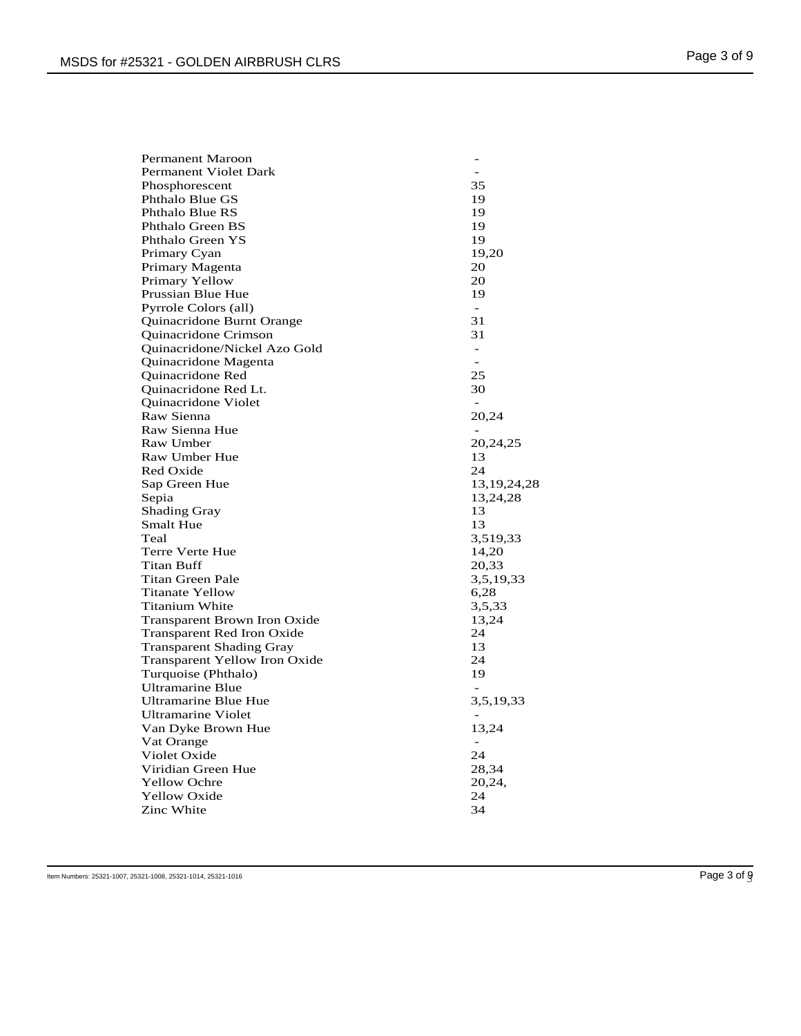| Permanent Maroon                |                          |
|---------------------------------|--------------------------|
| Permanent Violet Dark           |                          |
| Phosphorescent                  | 35                       |
| Phthalo Blue GS                 | 19                       |
| Phthalo Blue RS                 | 19                       |
| Phthalo Green BS                | 19                       |
| Phthalo Green YS                | 19                       |
| Primary Cyan                    | 19,20                    |
| Primary Magenta                 | 20                       |
| Primary Yellow                  | 20                       |
| Prussian Blue Hue               | 19                       |
| Pyrrole Colors (all)            | $\overline{\phantom{a}}$ |
| Quinacridone Burnt Orange       | 31                       |
| Quinacridone Crimson            | 31                       |
| Quinacridone/Nickel Azo Gold    | $\overline{\phantom{a}}$ |
| Quinacridone Magenta            | $\overline{a}$           |
| <b>Ouinacridone Red</b>         | 25                       |
| Quinacridone Red Lt.            | 30                       |
| Quinacridone Violet             | $\overline{\phantom{a}}$ |
| Raw Sienna                      | 20,24                    |
| Raw Sienna Hue                  |                          |
| <b>Raw Umber</b>                | 20,24,25                 |
| Raw Umber Hue                   | 13                       |
| Red Oxide                       | 24                       |
| Sap Green Hue                   | 13, 19, 24, 28           |
| Sepia                           | 13,24,28                 |
| <b>Shading Gray</b>             | 13                       |
| Smalt Hue                       | 13                       |
| Teal                            | 3,519,33                 |
| Terre Verte Hue                 | 14,20                    |
| Titan Buff                      | 20,33                    |
| Titan Green Pale                | 3,5,19,33                |
| Titanate Yellow                 | 6,28                     |
| Titanium White                  | 3,5,33                   |
| Transparent Brown Iron Oxide    | 13,24                    |
| Transparent Red Iron Oxide      | 24                       |
| <b>Transparent Shading Gray</b> | 13                       |
| Transparent Yellow Iron Oxide   | 24                       |
| Turquoise (Phthalo)             | 19                       |
| <b>Ultramarine Blue</b>         |                          |
| <b>Ultramarine Blue Hue</b>     | 3,5,19,33                |
| Ultramarine Violet              |                          |
| Van Dyke Brown Hue              | 13,24                    |
| Vat Orange                      | $\overline{\phantom{a}}$ |
| Violet Oxide                    | 24                       |
| Viridian Green Hue              | 28,34                    |
| <b>Yellow Ochre</b>             | 20,24,                   |
| <b>Yellow Oxide</b>             | 24                       |
| Zinc White                      | 34                       |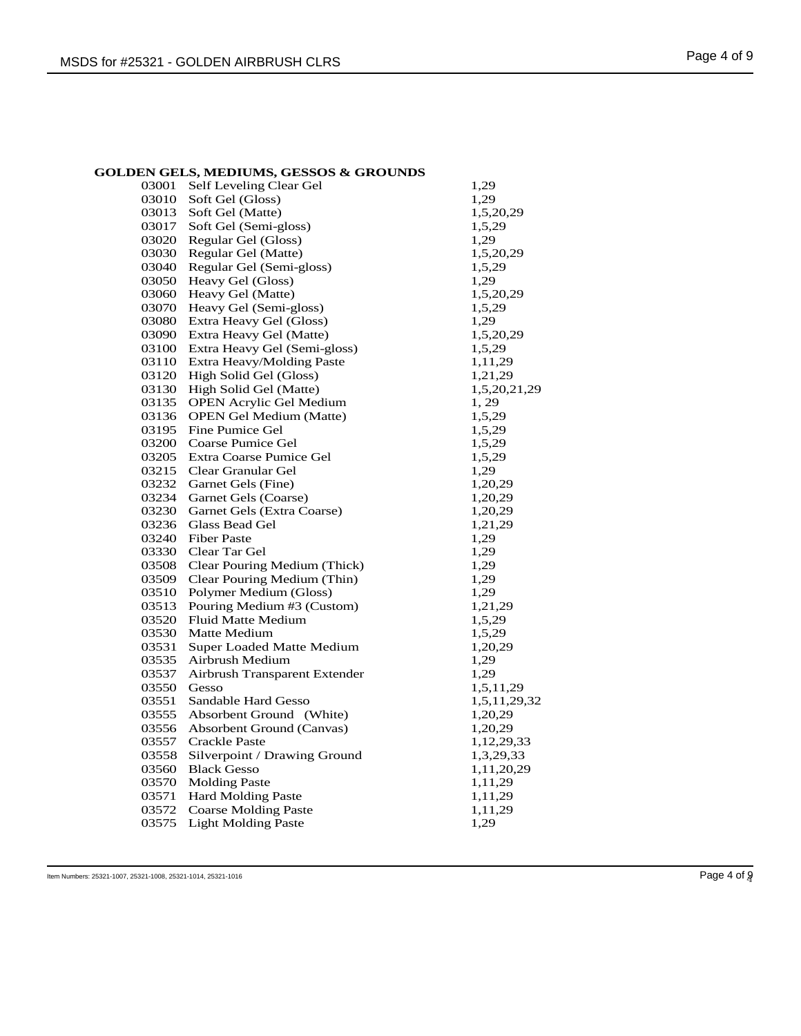|  | <b>GOLDEN GELS, MEDIUMS, GESSOS &amp; GROUNDS</b> |
|--|---------------------------------------------------|
|--|---------------------------------------------------|

|                                  |                                                                                                                                                                                                                                                                                                                                                                                                                                                                                                                                                  | 1,29         |
|----------------------------------|--------------------------------------------------------------------------------------------------------------------------------------------------------------------------------------------------------------------------------------------------------------------------------------------------------------------------------------------------------------------------------------------------------------------------------------------------------------------------------------------------------------------------------------------------|--------------|
|                                  |                                                                                                                                                                                                                                                                                                                                                                                                                                                                                                                                                  | 1,29         |
|                                  |                                                                                                                                                                                                                                                                                                                                                                                                                                                                                                                                                  | 1,5,20,29    |
|                                  |                                                                                                                                                                                                                                                                                                                                                                                                                                                                                                                                                  | 1,5,29       |
|                                  |                                                                                                                                                                                                                                                                                                                                                                                                                                                                                                                                                  | 1,29         |
|                                  |                                                                                                                                                                                                                                                                                                                                                                                                                                                                                                                                                  | 1,5,20,29    |
|                                  |                                                                                                                                                                                                                                                                                                                                                                                                                                                                                                                                                  | 1,5,29       |
|                                  |                                                                                                                                                                                                                                                                                                                                                                                                                                                                                                                                                  | 1,29         |
|                                  |                                                                                                                                                                                                                                                                                                                                                                                                                                                                                                                                                  | 1,5,20,29    |
|                                  |                                                                                                                                                                                                                                                                                                                                                                                                                                                                                                                                                  | 1,5,29       |
|                                  |                                                                                                                                                                                                                                                                                                                                                                                                                                                                                                                                                  | 1,29         |
|                                  |                                                                                                                                                                                                                                                                                                                                                                                                                                                                                                                                                  | 1,5,20,29    |
|                                  |                                                                                                                                                                                                                                                                                                                                                                                                                                                                                                                                                  | 1,5,29       |
|                                  |                                                                                                                                                                                                                                                                                                                                                                                                                                                                                                                                                  | 1,11,29      |
| High Solid Gel (Gloss)           |                                                                                                                                                                                                                                                                                                                                                                                                                                                                                                                                                  | 1,21,29      |
|                                  |                                                                                                                                                                                                                                                                                                                                                                                                                                                                                                                                                  | 1,5,20,21,29 |
|                                  |                                                                                                                                                                                                                                                                                                                                                                                                                                                                                                                                                  | 1,29         |
|                                  |                                                                                                                                                                                                                                                                                                                                                                                                                                                                                                                                                  | 1,5,29       |
| Fine Pumice Gel                  |                                                                                                                                                                                                                                                                                                                                                                                                                                                                                                                                                  | 1,5,29       |
| Coarse Pumice Gel                |                                                                                                                                                                                                                                                                                                                                                                                                                                                                                                                                                  | 1,5,29       |
| Extra Coarse Pumice Gel          |                                                                                                                                                                                                                                                                                                                                                                                                                                                                                                                                                  | 1,5,29       |
| Clear Granular Gel               |                                                                                                                                                                                                                                                                                                                                                                                                                                                                                                                                                  | 1,29         |
| Garnet Gels (Fine)               |                                                                                                                                                                                                                                                                                                                                                                                                                                                                                                                                                  | 1,20,29      |
| Garnet Gels (Coarse)             |                                                                                                                                                                                                                                                                                                                                                                                                                                                                                                                                                  | 1,20,29      |
| Garnet Gels (Extra Coarse)       |                                                                                                                                                                                                                                                                                                                                                                                                                                                                                                                                                  | 1,20,29      |
| Glass Bead Gel                   |                                                                                                                                                                                                                                                                                                                                                                                                                                                                                                                                                  | 1,21,29      |
| <b>Fiber Paste</b>               |                                                                                                                                                                                                                                                                                                                                                                                                                                                                                                                                                  | 1,29         |
| Clear Tar Gel                    |                                                                                                                                                                                                                                                                                                                                                                                                                                                                                                                                                  | 1,29         |
| Clear Pouring Medium (Thick)     |                                                                                                                                                                                                                                                                                                                                                                                                                                                                                                                                                  | 1,29         |
| Clear Pouring Medium (Thin)      |                                                                                                                                                                                                                                                                                                                                                                                                                                                                                                                                                  | 1,29         |
| Polymer Medium (Gloss)           |                                                                                                                                                                                                                                                                                                                                                                                                                                                                                                                                                  | 1,29         |
| Pouring Medium #3 (Custom)       |                                                                                                                                                                                                                                                                                                                                                                                                                                                                                                                                                  | 1,21,29      |
| Fluid Matte Medium               |                                                                                                                                                                                                                                                                                                                                                                                                                                                                                                                                                  | 1,5,29       |
| Matte Medium                     |                                                                                                                                                                                                                                                                                                                                                                                                                                                                                                                                                  | 1,5,29       |
| <b>Super Loaded Matte Medium</b> |                                                                                                                                                                                                                                                                                                                                                                                                                                                                                                                                                  | 1,20,29      |
| Airbrush Medium                  |                                                                                                                                                                                                                                                                                                                                                                                                                                                                                                                                                  | 1,29         |
| Airbrush Transparent Extender    |                                                                                                                                                                                                                                                                                                                                                                                                                                                                                                                                                  | 1,29         |
| Gesso                            |                                                                                                                                                                                                                                                                                                                                                                                                                                                                                                                                                  | 1,5,11,29    |
| Sandable Hard Gesso              |                                                                                                                                                                                                                                                                                                                                                                                                                                                                                                                                                  | 1,5,11,29,32 |
| Absorbent Ground (White)         |                                                                                                                                                                                                                                                                                                                                                                                                                                                                                                                                                  | 1,20,29      |
|                                  |                                                                                                                                                                                                                                                                                                                                                                                                                                                                                                                                                  | 1,20,29      |
| <b>Crackle Paste</b>             |                                                                                                                                                                                                                                                                                                                                                                                                                                                                                                                                                  | 1,12,29,33   |
| Silverpoint / Drawing Ground     |                                                                                                                                                                                                                                                                                                                                                                                                                                                                                                                                                  | 1,3,29,33    |
| <b>Black Gesso</b>               |                                                                                                                                                                                                                                                                                                                                                                                                                                                                                                                                                  | 1,11,20,29   |
| <b>Molding Paste</b>             |                                                                                                                                                                                                                                                                                                                                                                                                                                                                                                                                                  | 1,11,29      |
|                                  |                                                                                                                                                                                                                                                                                                                                                                                                                                                                                                                                                  | 1,11,29      |
|                                  |                                                                                                                                                                                                                                                                                                                                                                                                                                                                                                                                                  | 1,11,29      |
| <b>Light Molding Paste</b>       |                                                                                                                                                                                                                                                                                                                                                                                                                                                                                                                                                  | 1,29         |
|                                  | Self Leveling Clear Gel<br>Soft Gel (Gloss)<br>Soft Gel (Matte)<br>Soft Gel (Semi-gloss)<br>Regular Gel (Gloss)<br>Regular Gel (Matte)<br>Regular Gel (Semi-gloss)<br>Heavy Gel (Gloss)<br>Heavy Gel (Matte)<br>Heavy Gel (Semi-gloss)<br>Extra Heavy Gel (Gloss)<br>Extra Heavy Gel (Matte)<br>Extra Heavy Gel (Semi-gloss)<br>Extra Heavy/Molding Paste<br>High Solid Gel (Matte)<br><b>OPEN Acrylic Gel Medium</b><br><b>OPEN Gel Medium (Matte)</b><br>Absorbent Ground (Canvas)<br><b>Hard Molding Paste</b><br><b>Coarse Molding Paste</b> |              |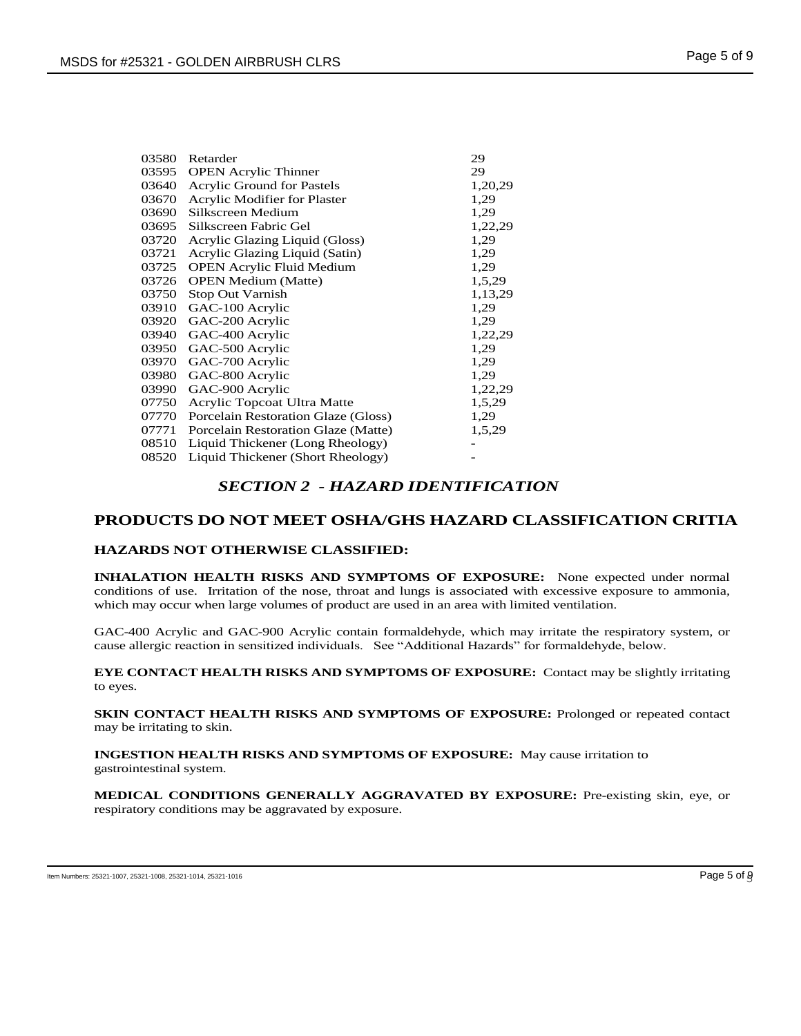| 03580 | Retarder                            | 29      |
|-------|-------------------------------------|---------|
| 03595 | <b>OPEN Acrylic Thinner</b>         | 29      |
| 03640 | Acrylic Ground for Pastels          | 1,20,29 |
| 03670 | Acrylic Modifier for Plaster        | 1,29    |
| 03690 | Silkscreen Medium                   | 1,29    |
| 03695 | Silkscreen Fabric Gel               | 1,22,29 |
| 03720 | Acrylic Glazing Liquid (Gloss)      | 1,29    |
| 03721 | Acrylic Glazing Liquid (Satin)      | 1,29    |
| 03725 | <b>OPEN Acrylic Fluid Medium</b>    | 1,29    |
| 03726 | <b>OPEN Medium (Matte)</b>          | 1,5,29  |
| 03750 | <b>Stop Out Varnish</b>             | 1,13,29 |
| 03910 | GAC-100 Acrylic                     | 1,29    |
| 03920 | GAC-200 Acrylic                     | 1,29    |
| 03940 | GAC-400 Acrylic                     | 1,22,29 |
| 03950 | GAC-500 Acrylic                     | 1,29    |
| 03970 | GAC-700 Acrylic                     | 1,29    |
| 03980 | GAC-800 Acrylic                     | 1,29    |
| 03990 | GAC-900 Acrylic                     | 1,22,29 |
| 07750 | Acrylic Topcoat Ultra Matte         | 1,5,29  |
| 07770 | Porcelain Restoration Glaze (Gloss) | 1,29    |
| 07771 | Porcelain Restoration Glaze (Matte) | 1,5,29  |
| 08510 | Liquid Thickener (Long Rheology)    |         |
| 08520 | Liquid Thickener (Short Rheology)   |         |

## *SECTION 2 - HAZARD IDENTIFICATION*

#### **PRODUCTS DO NOT MEET OSHA/GHS HAZARD CLASSIFICATION CRITIA**

#### **HAZARDS NOT OTHERWISE CLASSIFIED:**

**INHALATION HEALTH RISKS AND SYMPTOMS OF EXPOSURE:** None expected under normal conditions of use. Irritation of the nose, throat and lungs is associated with excessive exposure to ammonia, which may occur when large volumes of product are used in an area with limited ventilation.

GAC-400 Acrylic and GAC-900 Acrylic contain formaldehyde, which may irritate the respiratory system, or cause allergic reaction in sensitized individuals. See "Additional Hazards" for formaldehyde, below.

**EYE CONTACT HEALTH RISKS AND SYMPTOMS OF EXPOSURE:** Contact may be slightly irritating to eyes.

**SKIN CONTACT HEALTH RISKS AND SYMPTOMS OF EXPOSURE:** Prolonged or repeated contact may be irritating to skin.

**INGESTION HEALTH RISKS AND SYMPTOMS OF EXPOSURE:** May cause irritation to gastrointestinal system.

**MEDICAL CONDITIONS GENERALLY AGGRAVATED BY EXPOSURE:** Pre-existing skin, eye, or respiratory conditions may be aggravated by exposure.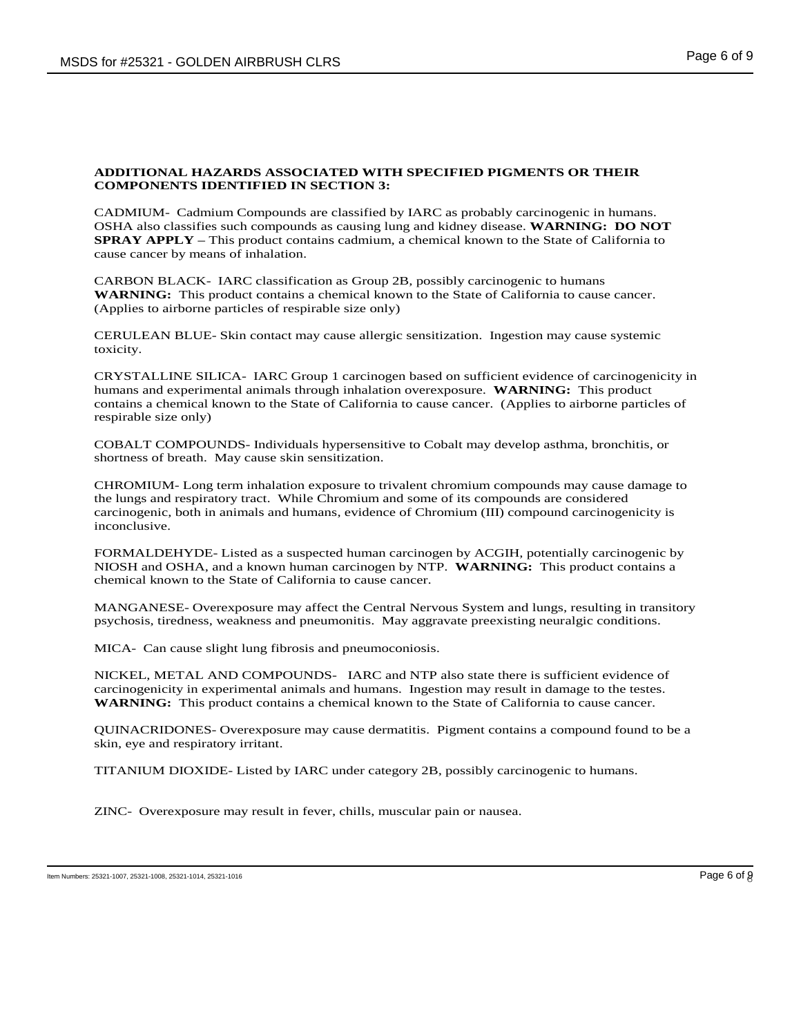#### **ADDITIONAL HAZARDS ASSOCIATED WITH SPECIFIED PIGMENTS OR THEIR COMPONENTS IDENTIFIED IN SECTION 3:**

CADMIUM- Cadmium Compounds are classified by IARC as probably carcinogenic in humans. OSHA also classifies such compounds as causing lung and kidney disease. **WARNING: DO NOT SPRAY APPLY –** This product contains cadmium, a chemical known to the State of California to cause cancer by means of inhalation.

CARBON BLACK- IARC classification as Group 2B, possibly carcinogenic to humans **WARNING:** This product contains a chemical known to the State of California to cause cancer. (Applies to airborne particles of respirable size only)

CERULEAN BLUE- Skin contact may cause allergic sensitization. Ingestion may cause systemic toxicity.

CRYSTALLINE SILICA- IARC Group 1 carcinogen based on sufficient evidence of carcinogenicity in humans and experimental animals through inhalation overexposure. **WARNING:** This product contains a chemical known to the State of California to cause cancer. (Applies to airborne particles of respirable size only)

COBALT COMPOUNDS- Individuals hypersensitive to Cobalt may develop asthma, bronchitis, or shortness of breath. May cause skin sensitization.

CHROMIUM- Long term inhalation exposure to trivalent chromium compounds may cause damage to the lungs and respiratory tract. While Chromium and some of its compounds are considered carcinogenic, both in animals and humans, evidence of Chromium (III) compound carcinogenicity is inconclusive.

FORMALDEHYDE- Listed as a suspected human carcinogen by ACGIH, potentially carcinogenic by NIOSH and OSHA, and a known human carcinogen by NTP. **WARNING:** This product contains a chemical known to the State of California to cause cancer.

MANGANESE- Overexposure may affect the Central Nervous System and lungs, resulting in transitory psychosis, tiredness, weakness and pneumonitis. May aggravate preexisting neuralgic conditions.

MICA- Can cause slight lung fibrosis and pneumoconiosis.

NICKEL, METAL AND COMPOUNDS- IARC and NTP also state there is sufficient evidence of carcinogenicity in experimental animals and humans. Ingestion may result in damage to the testes. **WARNING:** This product contains a chemical known to the State of California to cause cancer.

QUINACRIDONES- Overexposure may cause dermatitis. Pigment contains a compound found to be a skin, eye and respiratory irritant.

TITANIUM DIOXIDE- Listed by IARC under category 2B, possibly carcinogenic to humans.

ZINC- Overexposure may result in fever, chills, muscular pain or nausea.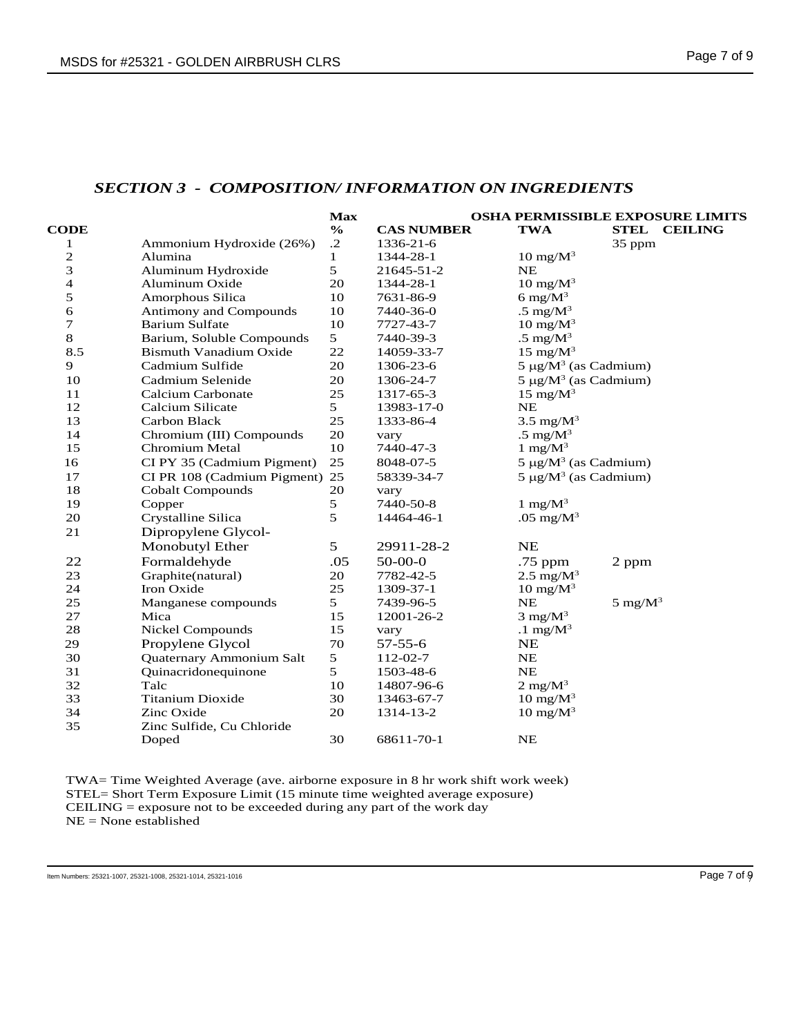#### *SECTION 3 - COMPOSITION/ INFORMATION ON INGREDIENTS*

|                  |                                | <b>Max</b>     |                   | <b>OSHA PERMISSIBLE EXPOSURE LIMITS</b> |             |                |
|------------------|--------------------------------|----------------|-------------------|-----------------------------------------|-------------|----------------|
| <b>CODE</b>      |                                | $\frac{6}{6}$  | <b>CAS NUMBER</b> | <b>TWA</b>                              | <b>STEL</b> | <b>CEILING</b> |
| 1                | Ammonium Hydroxide (26%)       | $\cdot$ .2     | 1336-21-6         |                                         | 35 ppm      |                |
| $\overline{2}$   | Alumina                        | 1              | 1344-28-1         | $10 \text{ mg/M}^3$                     |             |                |
| 3                | Aluminum Hydroxide             | 5              | 21645-51-2        | NE                                      |             |                |
| 4                | Aluminum Oxide                 | 20             | 1344-28-1         | $10 \text{ mg/M}^3$                     |             |                |
| 5                | Amorphous Silica               | 10             | 7631-86-9         | 6 mg/ $M^3$                             |             |                |
| 6                | Antimony and Compounds         | 10             | 7440-36-0         | .5 mg/ $M^3$                            |             |                |
| $\boldsymbol{7}$ | <b>Barium Sulfate</b>          | 10             | 7727-43-7         | $10 \text{ mg/M}^3$                     |             |                |
| 8                | Barium, Soluble Compounds      | 5 <sup>1</sup> | 7440-39-3         | .5 mg/ $M^3$                            |             |                |
| 8.5              | Bismuth Vanadium Oxide         | 22             | 14059-33-7        | $15 \text{ mg/M}^3$                     |             |                |
| 9                | Cadmium Sulfide                | 20             | 1306-23-6         | $5 \mu g/M^3$ (as Cadmium)              |             |                |
| 10               | Cadmium Selenide               | 20             | 1306-24-7         | $5 \mu g/M^3$ (as Cadmium)              |             |                |
| 11               | Calcium Carbonate              | 25             | 1317-65-3         | $15 \text{ mg/M}^3$                     |             |                |
| 12               | Calcium Silicate               | 5              | 13983-17-0        | NE                                      |             |                |
| 13               | Carbon Black                   | 25             | 1333-86-4         | 3.5 mg/ $M^3$                           |             |                |
| 14               | Chromium (III) Compounds       | 20             | vary              | .5 mg/ $M^3$                            |             |                |
| 15               | Chromium Metal                 | 10             | 7440-47-3         | 1 mg/ $M^3$                             |             |                |
| 16               | CI PY 35 (Cadmium Pigment)     | 25             | 8048-07-5         | $5 \mu g/M^3$ (as Cadmium)              |             |                |
| 17               | CI PR 108 (Cadmium Pigment) 25 |                | 58339-34-7        | $5 \mu g/M^3$ (as Cadmium)              |             |                |
| 18               | <b>Cobalt Compounds</b>        | 20             | vary              |                                         |             |                |
| 19               | Copper                         | 5              | 7440-50-8         | 1 mg/ $M^3$                             |             |                |
| 20               | Crystalline Silica             | 5              | 14464-46-1        | $.05 \text{ mg/M}^3$                    |             |                |
| 21               | Dipropylene Glycol-            |                |                   |                                         |             |                |
|                  | Monobutyl Ether                | 5              | 29911-28-2        | NE                                      |             |                |
| 22               | Formaldehyde                   | .05            | $50-00-0$         | .75 ppm                                 | 2 ppm       |                |
| 23               | Graphite(natural)              | 20             | 7782-42-5         | $2.5 \text{ mg/M}^3$                    |             |                |
| 24               | Iron Oxide                     | 25             | 1309-37-1         | $10 \text{ mg/M}^3$                     |             |                |
| 25               | Manganese compounds            | 5              | 7439-96-5         | NE                                      | 5 mg/ $M^3$ |                |
| 27               | Mica                           | 15             | 12001-26-2        | $3 \text{ mg/M}^3$                      |             |                |
| 28               | Nickel Compounds               | 15             | vary              | .1 mg/ $M^3$                            |             |                |
| 29               | Propylene Glycol               | 70             | $57 - 55 - 6$     | NE                                      |             |                |
| 30               | Quaternary Ammonium Salt       | 5              | 112-02-7          | NE                                      |             |                |
| 31               | Quinacridonequinone            | 5              | 1503-48-6         | NE                                      |             |                |
| 32               | Talc                           | 10             | 14807-96-6        | $2 \text{ mg/M}^3$                      |             |                |
| 33               | <b>Titanium Dioxide</b>        | 30             | 13463-67-7        | $10 \text{ mg/M}^3$                     |             |                |
| 34               | Zinc Oxide                     | 20             | 1314-13-2         | $10 \text{ mg/M}^3$                     |             |                |
| 35               | Zinc Sulfide, Cu Chloride      |                |                   |                                         |             |                |
|                  | Doped                          | 30             | 68611-70-1        | <b>NE</b>                               |             |                |
|                  |                                |                |                   |                                         |             |                |

TWA= Time Weighted Average (ave. airborne exposure in 8 hr work shift work week) STEL= Short Term Exposure Limit (15 minute time weighted average exposure) CEILING = exposure not to be exceeded during any part of the work day NE = None established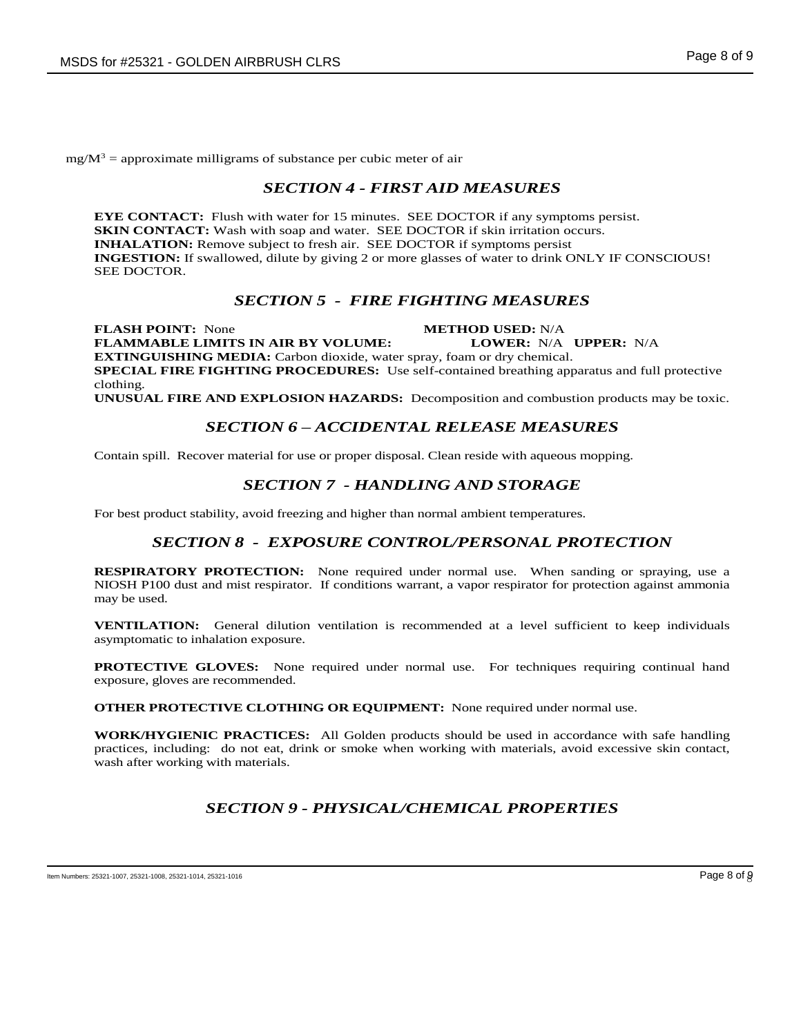$mg/M^3$  = approximate milligrams of substance per cubic meter of air

# *SECTION 4 - FIRST AID MEASURES*

**EYE CONTACT:** Flush with water for 15 minutes. SEE DOCTOR if any symptoms persist. **SKIN CONTACT:** Wash with soap and water. SEE DOCTOR if skin irritation occurs. **INHALATION:** Remove subject to fresh air. SEE DOCTOR if symptoms persist **INGESTION:** If swallowed, dilute by giving 2 or more glasses of water to drink ONLY IF CONSCIOUS! SEE DOCTOR.

#### *SECTION 5 - FIRE FIGHTING MEASURES*

**FLASH POINT:** None **METHOD USED:** N/A **FLAMMABLE LIMITS IN AIR BY VOLUME: LOWER:** N/A **UPPER:** N/A **EXTINGUISHING MEDIA:** Carbon dioxide, water spray, foam or dry chemical. **SPECIAL FIRE FIGHTING PROCEDURES:** Use self-contained breathing apparatus and full protective clothing. **UNUSUAL FIRE AND EXPLOSION HAZARDS:** Decomposition and combustion products may be toxic.

# *SECTION 6 – ACCIDENTAL RELEASE MEASURES*

Contain spill. Recover material for use or proper disposal. Clean reside with aqueous mopping.

# *SECTION 7 - HANDLING AND STORAGE*

For best product stability, avoid freezing and higher than normal ambient temperatures.

# *SECTION 8 - EXPOSURE CONTROL/PERSONAL PROTECTION*

**RESPIRATORY PROTECTION:** None required under normal use. When sanding or spraying, use a NIOSH P100 dust and mist respirator. If conditions warrant, a vapor respirator for protection against ammonia may be used.

**VENTILATION:** General dilution ventilation is recommended at a level sufficient to keep individuals asymptomatic to inhalation exposure.

**PROTECTIVE GLOVES:** None required under normal use. For techniques requiring continual hand exposure, gloves are recommended.

**OTHER PROTECTIVE CLOTHING OR EQUIPMENT:** None required under normal use.

**WORK/HYGIENIC PRACTICES:** All Golden products should be used in accordance with safe handling practices, including: do not eat, drink or smoke when working with materials, avoid excessive skin contact, wash after working with materials.

# *SECTION 9 - PHYSICAL/CHEMICAL PROPERTIES*